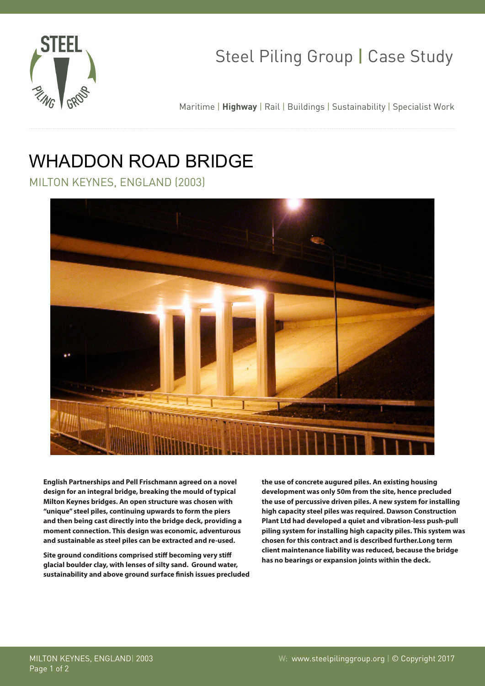

# Steel Piling Group | Case Study

Maritime | **Highway** | Rail | Buildings | Sustainability | Specialist Work

## WHADDON ROAD BRIDGE

MILTON KEYNES, ENGLAND (2003)



**English Partnerships and Pell Frischmann agreed on a novel design for an integral bridge, breaking the mould of typical Milton Keynes bridges. An open structure was chosen with "unique" steel piles, continuing upwards to form the piers and then being cast directly into the bridge deck, providing a moment connection. This design was economic, adventurous and sustainable as steel piles can be extracted and re-used.**

**Site ground conditions comprised stiff becoming very stiff glacial boulder clay, with lenses of silty sand. Ground water, sustainability and above ground surface finish issues precluded**  **the use of concrete augured piles. An existing housing development was only 50m from the site, hence precluded the use of percussive driven piles. A new system for installing high capacity steel piles was required. Dawson Construction Plant Ltd had developed a quiet and vibration-less push-pull piling system for installing high capacity piles. This system was chosen for this contract and is described further.Long term client maintenance liability was reduced, because the bridge has no bearings or expansion joints within the deck.**